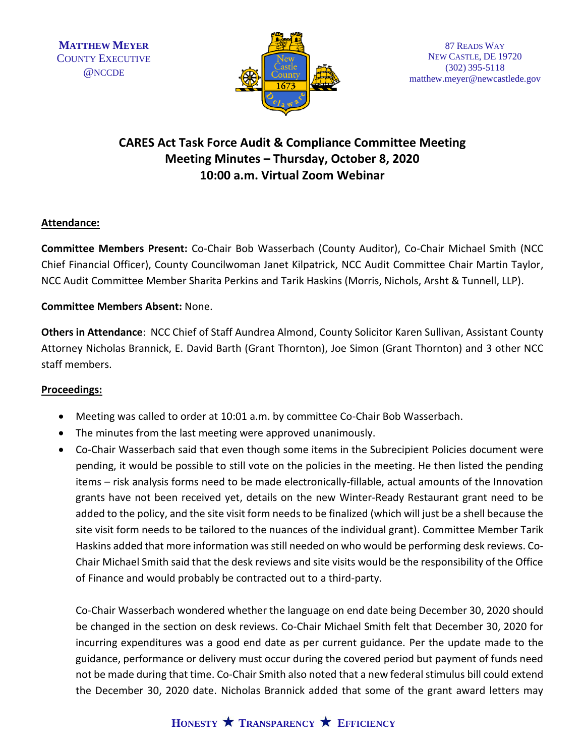

## **CARES Act Task Force Audit & Compliance Committee Meeting Meeting Minutes – Thursday, October 8, 2020 10:00 a.m. Virtual Zoom Webinar**

## **Attendance:**

**Committee Members Present:** Co-Chair Bob Wasserbach (County Auditor), Co-Chair Michael Smith (NCC Chief Financial Officer), County Councilwoman Janet Kilpatrick, NCC Audit Committee Chair Martin Taylor, NCC Audit Committee Member Sharita Perkins and Tarik Haskins (Morris, Nichols, Arsht & Tunnell, LLP).

## **Committee Members Absent:** None.

**Others in Attendance**: NCC Chief of Staff Aundrea Almond, County Solicitor Karen Sullivan, Assistant County Attorney Nicholas Brannick, E. David Barth (Grant Thornton), Joe Simon (Grant Thornton) and 3 other NCC staff members.

## **Proceedings:**

- Meeting was called to order at 10:01 a.m. by committee Co-Chair Bob Wasserbach.
- The minutes from the last meeting were approved unanimously.
- Co-Chair Wasserbach said that even though some items in the Subrecipient Policies document were pending, it would be possible to still vote on the policies in the meeting. He then listed the pending items – risk analysis forms need to be made electronically-fillable, actual amounts of the Innovation grants have not been received yet, details on the new Winter-Ready Restaurant grant need to be added to the policy, and the site visit form needs to be finalized (which will just be a shell because the site visit form needs to be tailored to the nuances of the individual grant). Committee Member Tarik Haskins added that more information was still needed on who would be performing desk reviews. Co-Chair Michael Smith said that the desk reviews and site visits would be the responsibility of the Office of Finance and would probably be contracted out to a third-party.

Co-Chair Wasserbach wondered whether the language on end date being December 30, 2020 should be changed in the section on desk reviews. Co-Chair Michael Smith felt that December 30, 2020 for incurring expenditures was a good end date as per current guidance. Per the update made to the guidance, performance or delivery must occur during the covered period but payment of funds need not be made during that time. Co-Chair Smith also noted that a new federal stimulus bill could extend the December 30, 2020 date. Nicholas Brannick added that some of the grant award letters may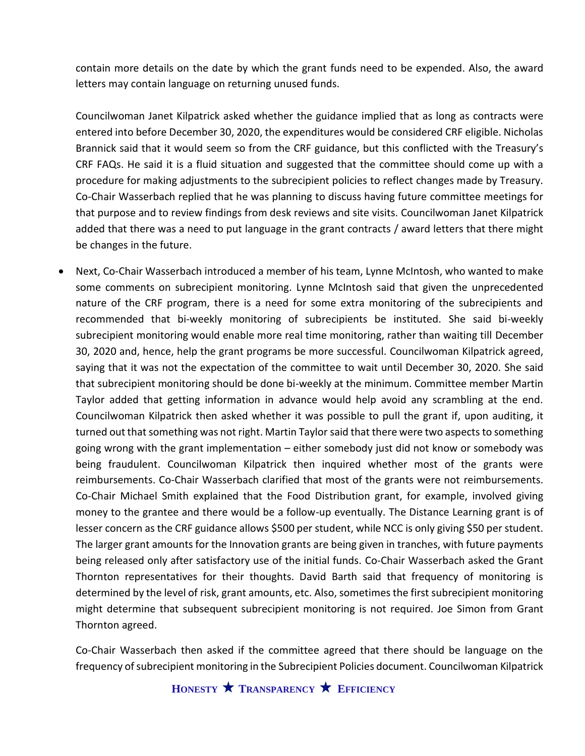contain more details on the date by which the grant funds need to be expended. Also, the award letters may contain language on returning unused funds.

Councilwoman Janet Kilpatrick asked whether the guidance implied that as long as contracts were entered into before December 30, 2020, the expenditures would be considered CRF eligible. Nicholas Brannick said that it would seem so from the CRF guidance, but this conflicted with the Treasury's CRF FAQs. He said it is a fluid situation and suggested that the committee should come up with a procedure for making adjustments to the subrecipient policies to reflect changes made by Treasury. Co-Chair Wasserbach replied that he was planning to discuss having future committee meetings for that purpose and to review findings from desk reviews and site visits. Councilwoman Janet Kilpatrick added that there was a need to put language in the grant contracts / award letters that there might be changes in the future.

• Next, Co-Chair Wasserbach introduced a member of his team, Lynne McIntosh, who wanted to make some comments on subrecipient monitoring. Lynne McIntosh said that given the unprecedented nature of the CRF program, there is a need for some extra monitoring of the subrecipients and recommended that bi-weekly monitoring of subrecipients be instituted. She said bi-weekly subrecipient monitoring would enable more real time monitoring, rather than waiting till December 30, 2020 and, hence, help the grant programs be more successful. Councilwoman Kilpatrick agreed, saying that it was not the expectation of the committee to wait until December 30, 2020. She said that subrecipient monitoring should be done bi-weekly at the minimum. Committee member Martin Taylor added that getting information in advance would help avoid any scrambling at the end. Councilwoman Kilpatrick then asked whether it was possible to pull the grant if, upon auditing, it turned out that something was not right. Martin Taylor said that there were two aspects to something going wrong with the grant implementation – either somebody just did not know or somebody was being fraudulent. Councilwoman Kilpatrick then inquired whether most of the grants were reimbursements. Co-Chair Wasserbach clarified that most of the grants were not reimbursements. Co-Chair Michael Smith explained that the Food Distribution grant, for example, involved giving money to the grantee and there would be a follow-up eventually. The Distance Learning grant is of lesser concern as the CRF guidance allows \$500 per student, while NCC is only giving \$50 per student. The larger grant amounts for the Innovation grants are being given in tranches, with future payments being released only after satisfactory use of the initial funds. Co-Chair Wasserbach asked the Grant Thornton representatives for their thoughts. David Barth said that frequency of monitoring is determined by the level of risk, grant amounts, etc. Also, sometimes the first subrecipient monitoring might determine that subsequent subrecipient monitoring is not required. Joe Simon from Grant Thornton agreed.

Co-Chair Wasserbach then asked if the committee agreed that there should be language on the frequency of subrecipient monitoring in the Subrecipient Policies document. Councilwoman Kilpatrick

**HONESTY TRANSPARENCY EFFICIENCY**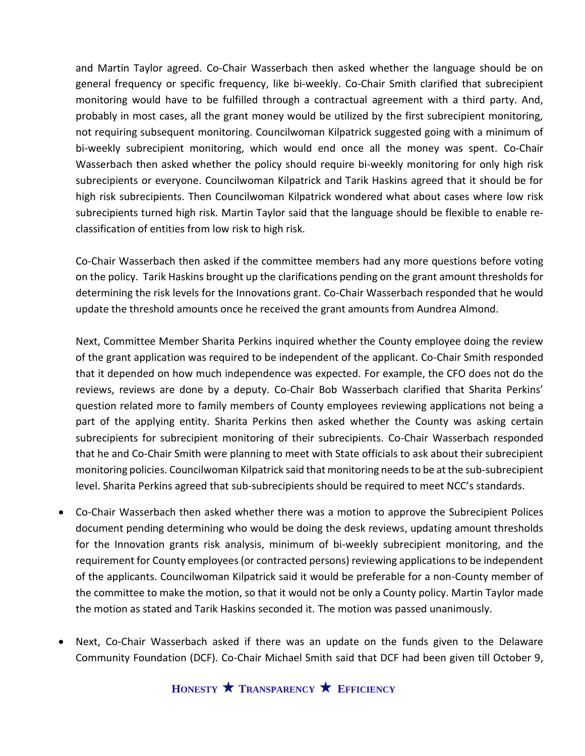and Martin Taylor agreed. Co-Chair Wasserbach then asked whether the language should be on general frequency or specific frequency, like bi-weekly. Co-Chair Smith clarified that subrecipient monitoring would have to be fulfilled through a contractual agreement with a third party. And, probably in most cases, all the grant money would be utilized by the first subrecipient monitoring, not requiring subsequent monitoring. Councilwoman Kilpatrick suggested going with a minimum of bi-weekly subrecipient monitoring, which would end once all the money was spent. Co-Chair Wasserbach then asked whether the policy should require bi-weekly monitoring for only high risk subrecipients or everyone. Councilwoman Kilpatrick and Tarik Haskins agreed that it should be for high risk subrecipients. Then Councilwoman Kilpatrick wondered what about cases where low risk subrecipients turned high risk. Martin Taylor said that the language should be flexible to enable reclassification of entities from low risk to high risk.

Co-Chair Wasserbach then asked if the committee members had any more questions before voting on the policy. Tarik Haskins brought up the clarifications pending on the grant amount thresholds for determining the risk levels for the Innovations grant. Co-Chair Wasserbach responded that he would update the threshold amounts once he received the grant amounts from Aundrea Almond.

Next, Committee Member Sharita Perkins inquired whether the County employee doing the review of the grant application was required to be independent of the applicant. Co-Chair Smith responded that it depended on how much independence was expected. For example, the CFO does not do the reviews, reviews are done by a deputy. Co-Chair Bob Wasserbach clarified that Sharita Perkins' question related more to family members of County employees reviewing applications not being a part of the applying entity. Sharita Perkins then asked whether the County was asking certain subrecipients for subrecipient monitoring of their subrecipients. Co-Chair Wasserbach responded that he and Co-Chair Smith were planning to meet with State officials to ask about their subrecipient monitoring policies. Councilwoman Kilpatrick said that monitoring needs to be at the sub-subrecipient level. Sharita Perkins agreed that sub-subrecipients should be required to meet NCC's standards.

- Co-Chair Wasserbach then asked whether there was a motion to approve the Subrecipient Polices document pending determining who would be doing the desk reviews, updating amount thresholds for the Innovation grants risk analysis, minimum of bi-weekly subrecipient monitoring, and the requirement for County employees(or contracted persons) reviewing applications to be independent of the applicants. Councilwoman Kilpatrick said it would be preferable for a non-County member of the committee to make the motion, so that it would not be only a County policy. Martin Taylor made the motion as stated and Tarik Haskins seconded it. The motion was passed unanimously.
- Next, Co-Chair Wasserbach asked if there was an update on the funds given to the Delaware Community Foundation (DCF). Co-Chair Michael Smith said that DCF had been given till October 9,

**HONESTY TRANSPARENCY EFFICIENCY**